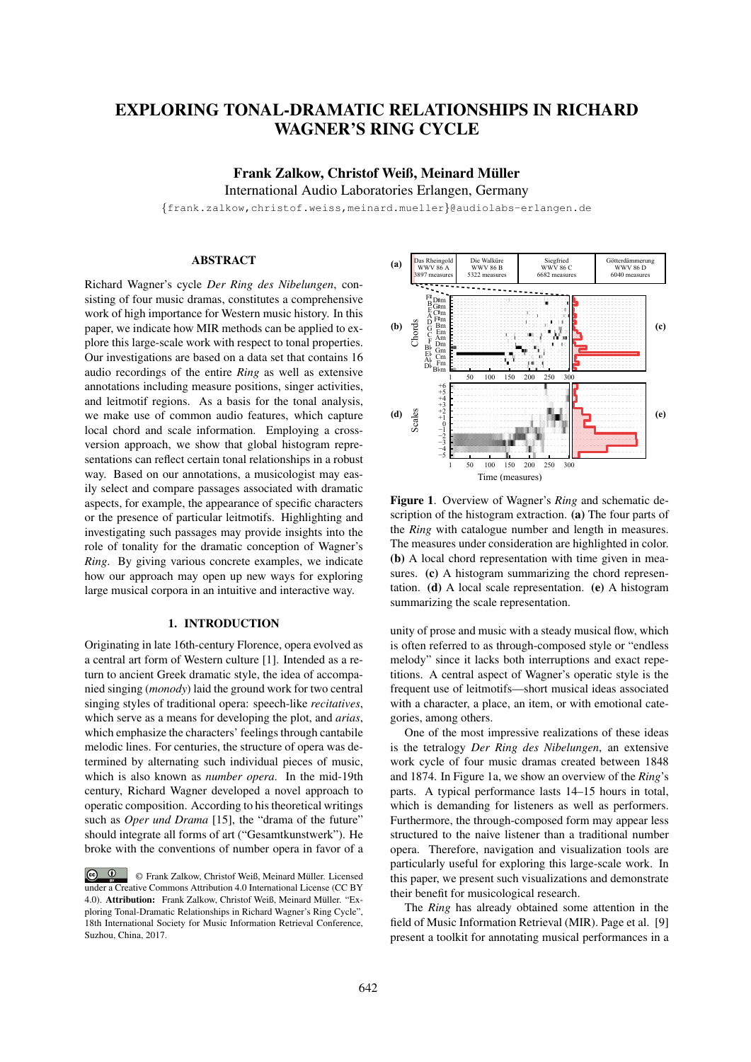# EXPLORING TONAL-DRAMATIC RELATIONSHIPS IN RICHARD WAGNER'S RING CYCLE

Frank Zalkow, Christof Weiß, Meinard Müller International Audio Laboratories Erlangen, Germany

{frank.zalkow,christof.weiss,meinard.mueller}@audiolabs-erlangen.de

## **ABSTRACT**

Richard Wagner's cycle *Der Ring des Nibelungen*, consisting of four music dramas, constitutes a comprehensive work of high importance for Western music history. In this paper, we indicate how MIR methods can be applied to explore this large-scale work with respect to tonal properties. Our investigations are based on a data set that contains 16 audio recordings of the entire *Ring* as well as extensive annotations including measure positions, singer activities, and leitmotif regions. As a basis for the tonal analysis, we make use of common audio features, which capture local chord and scale information. Employing a crossversion approach, we show that global histogram representations can reflect certain tonal relationships in a robust way. Based on our annotations, a musicologist may easily select and compare passages associated with dramatic aspects, for example, the appearance of specific characters or the presence of particular leitmotifs. Highlighting and investigating such passages may provide insights into the role of tonality for the dramatic conception of Wagner's *Ring*. By giving various concrete examples, we indicate how our approach may open up new ways for exploring large musical corpora in an intuitive and interactive way.

#### 1. INTRODUCTION

Originating in late 16th-century Florence, opera evolved as a central art form of Western culture [1]. Intended as a return to ancient Greek dramatic style, the idea of accompanied singing (*monody*) laid the ground work for two central singing styles of traditional opera: speech-like *recitatives*, which serve as a means for developing the plot, and *arias*, which emphasize the characters' feelings through cantabile melodic lines. For centuries, the structure of opera was determined by alternating such individual pieces of music, which is also known as *number opera*. In the mid-19th century, Richard Wagner developed a novel approach to operatic composition. According to his theoretical writings such as *Oper und Drama* [15], the "drama of the future" should integrate all forms of art ("Gesamtkunstwerk"). He broke with the conventions of number opera in favor of a



Figure 1. Overview of Wagner's *Ring* and schematic description of the histogram extraction. (a) The four parts of the *Ring* with catalogue number and length in measures. The measures under consideration are highlighted in color. (b) A local chord representation with time given in measures. (c) A histogram summarizing the chord representation. (d) A local scale representation. (e) A histogram summarizing the scale representation.

unity of prose and music with a steady musical flow, which is often referred to as through-composed style or "endless melody" since it lacks both interruptions and exact repetitions. A central aspect of Wagner's operatic style is the frequent use of leitmotifs—short musical ideas associated with a character, a place, an item, or with emotional categories, among others.

One of the most impressive realizations of these ideas is the tetralogy *Der Ring des Nibelungen*, an extensive work cycle of four music dramas created between 1848 and 1874. In Figure 1a, we show an overview of the *Ring*'s parts. A typical performance lasts 14–15 hours in total, which is demanding for listeners as well as performers. Furthermore, the through-composed form may appear less structured to the naive listener than a traditional number opera. Therefore, navigation and visualization tools are particularly useful for exploring this large-scale work. In this paper, we present such visualizations and demonstrate their benefit for musicological research.

The *Ring* has already obtained some attention in the field of Music Information Retrieval (MIR). Page et al. [9] present a toolkit for annotating musical performances in a

 $\circ$   $\circ$ © Frank Zalkow, Christof Weiß, Meinard Muller. Licensed ¨ under a Creative Commons Attribution 4.0 International License (CC BY 4.0). Attribution: Frank Zalkow, Christof Weiß, Meinard Müller. "Exploring Tonal-Dramatic Relationships in Richard Wagner's Ring Cycle", 18th International Society for Music Information Retrieval Conference, Suzhou, China, 2017.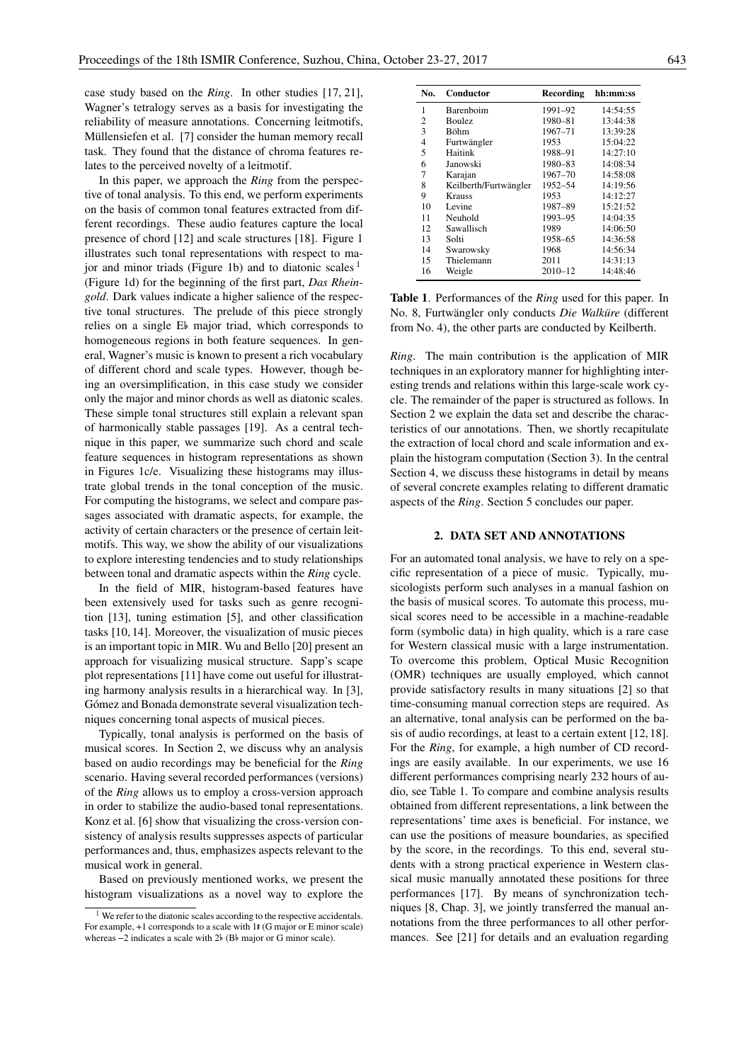case study based on the *Ring*. In other studies [17, 21], Wagner's tetralogy serves as a basis for investigating the reliability of measure annotations. Concerning leitmotifs, Müllensiefen et al. [7] consider the human memory recall task. They found that the distance of chroma features relates to the perceived novelty of a leitmotif.

In this paper, we approach the *Ring* from the perspective of tonal analysis. To this end, we perform experiments on the basis of common tonal features extracted from different recordings. These audio features capture the local presence of chord [12] and scale structures [18]. Figure 1 illustrates such tonal representations with respect to major and minor triads (Figure 1b) and to diatonic scales  $<sup>1</sup>$ </sup> (Figure 1d) for the beginning of the first part, *Das Rheingold*. Dark values indicate a higher salience of the respective tonal structures. The prelude of this piece strongly relies on a single E major triad, which corresponds to homogeneous regions in both feature sequences. In general, Wagner's music is known to present a rich vocabulary of different chord and scale types. However, though being an oversimplification, in this case study we consider only the major and minor chords as well as diatonic scales. These simple tonal structures still explain a relevant span of harmonically stable passages [19]. As a central technique in this paper, we summarize such chord and scale feature sequences in histogram representations as shown in Figures 1c/e. Visualizing these histograms may illustrate global trends in the tonal conception of the music. For computing the histograms, we select and compare passages associated with dramatic aspects, for example, the activity of certain characters or the presence of certain leitmotifs. This way, we show the ability of our visualizations to explore interesting tendencies and to study relationships between tonal and dramatic aspects within the *Ring* cycle.

In the field of MIR, histogram-based features have been extensively used for tasks such as genre recognition [13], tuning estimation [5], and other classification tasks [10, 14]. Moreover, the visualization of music pieces is an important topic in MIR. Wu and Bello [20] present an approach for visualizing musical structure. Sapp's scape plot representations [11] have come out useful for illustrating harmony analysis results in a hierarchical way. In [3], Gómez and Bonada demonstrate several visualization techniques concerning tonal aspects of musical pieces.

Typically, tonal analysis is performed on the basis of musical scores. In Section 2, we discuss why an analysis based on audio recordings may be beneficial for the *Ring* scenario. Having several recorded performances (versions) of the *Ring* allows us to employ a cross-version approach in order to stabilize the audio-based tonal representations. Konz et al. [6] show that visualizing the cross-version consistency of analysis results suppresses aspects of particular performances and, thus, emphasizes aspects relevant to the musical work in general.

Based on previously mentioned works, we present the histogram visualizations as a novel way to explore the

| No. | Conductor             | Recording   | hh:mm:ss |
|-----|-----------------------|-------------|----------|
| 1   | Barenboim             | 1991-92     | 14:54:55 |
| 2   | <b>Boulez</b>         | 1980-81     | 13:44:38 |
| 3   | Böhm                  | 1967-71     | 13:39:28 |
| 4   | Furtwängler           | 1953        | 15:04:22 |
| 5   | Haitink               | 1988-91     | 14:27:10 |
| 6   | Janowski              | 1980-83     | 14:08:34 |
| 7   | Karajan               | $1967 - 70$ | 14:58:08 |
| 8   | Keilberth/Furtwängler | 1952-54     | 14:19:56 |
| 9   | <b>Krauss</b>         | 1953        | 14:12:27 |
| 10  | Levine                | 1987-89     | 15:21:52 |
| 11  | Neuhold               | 1993-95     | 14:04:35 |
| 12  | Sawallisch            | 1989        | 14:06:50 |
| 13  | Solti                 | 1958-65     | 14:36:58 |
| 14  | Swarowsky             | 1968        | 14:56:34 |
| 15  | Thielemann            | 2011        | 14:31:13 |
| 16  | Weigle                | $2010 - 12$ | 14:48:46 |

Table 1. Performances of the *Ring* used for this paper. In No. 8, Furtwängler only conducts Die Walküre (different from No. 4), the other parts are conducted by Keilberth.

*Ring*. The main contribution is the application of MIR techniques in an exploratory manner for highlighting interesting trends and relations within this large-scale work cycle. The remainder of the paper is structured as follows. In Section 2 we explain the data set and describe the characteristics of our annotations. Then, we shortly recapitulate the extraction of local chord and scale information and explain the histogram computation (Section 3). In the central Section 4, we discuss these histograms in detail by means of several concrete examples relating to different dramatic aspects of the *Ring*. Section 5 concludes our paper.

### 2. DATA SET AND ANNOTATIONS

For an automated tonal analysis, we have to rely on a specific representation of a piece of music. Typically, musicologists perform such analyses in a manual fashion on the basis of musical scores. To automate this process, musical scores need to be accessible in a machine-readable form (symbolic data) in high quality, which is a rare case for Western classical music with a large instrumentation. To overcome this problem, Optical Music Recognition (OMR) techniques are usually employed, which cannot provide satisfactory results in many situations [2] so that time-consuming manual correction steps are required. As an alternative, tonal analysis can be performed on the basis of audio recordings, at least to a certain extent [12, 18]. For the *Ring*, for example, a high number of CD recordings are easily available. In our experiments, we use 16 different performances comprising nearly 232 hours of audio, see Table 1. To compare and combine analysis results obtained from different representations, a link between the representations' time axes is beneficial. For instance, we can use the positions of measure boundaries, as specified by the score, in the recordings. To this end, several students with a strong practical experience in Western classical music manually annotated these positions for three performances [17]. By means of synchronization techniques [8, Chap. 3], we jointly transferred the manual annotations from the three performances to all other performances. See [21] for details and an evaluation regarding

<sup>&</sup>lt;sup>1</sup> We refer to the diatonic scales according to the respective accidentals. For example, +1 corresponds to a scale with 1 (G major or E minor scale) whereas  $-2$  indicates a scale with 2 $\flat$  (B $\flat$  major or G minor scale).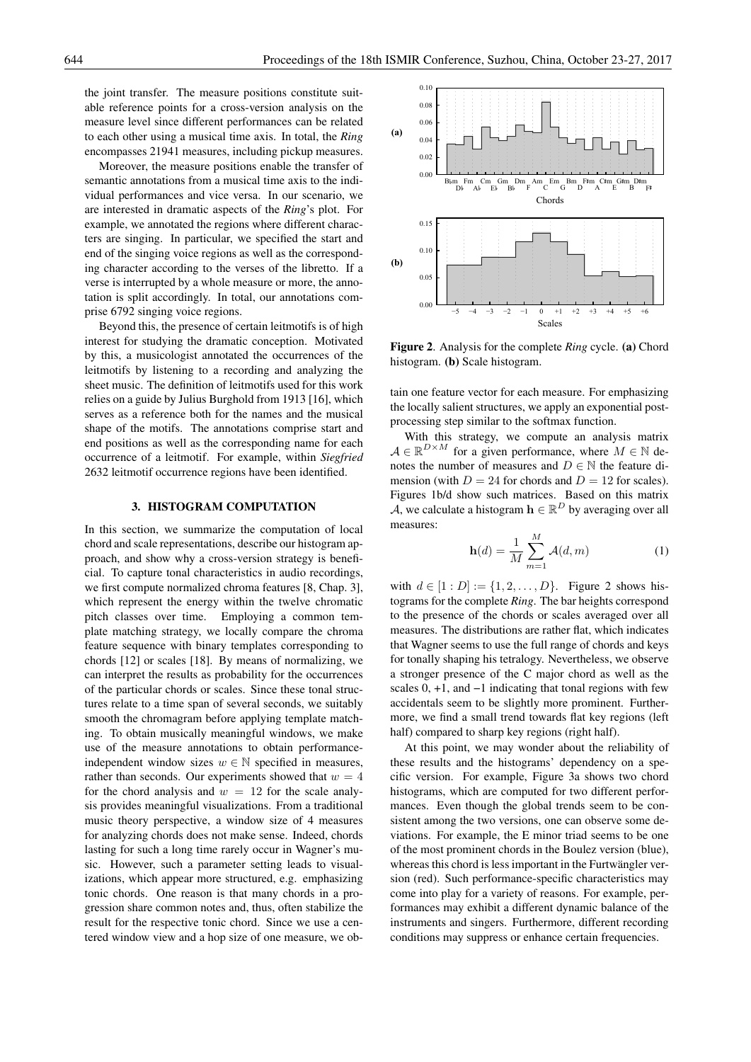the joint transfer. The measure positions constitute suitable reference points for a cross-version analysis on the measure level since different performances can be related to each other using a musical time axis. In total, the *Ring* encompasses 21941 measures, including pickup measures.

Moreover, the measure positions enable the transfer of semantic annotations from a musical time axis to the individual performances and vice versa. In our scenario, we are interested in dramatic aspects of the *Ring*'s plot. For example, we annotated the regions where different characters are singing. In particular, we specified the start and end of the singing voice regions as well as the corresponding character according to the verses of the libretto. If a verse is interrupted by a whole measure or more, the annotation is split accordingly. In total, our annotations comprise 6792 singing voice regions.

Beyond this, the presence of certain leitmotifs is of high interest for studying the dramatic conception. Motivated by this, a musicologist annotated the occurrences of the leitmotifs by listening to a recording and analyzing the sheet music. The definition of leitmotifs used for this work relies on a guide by Julius Burghold from 1913 [16], which serves as a reference both for the names and the musical shape of the motifs. The annotations comprise start and end positions as well as the corresponding name for each occurrence of a leitmotif. For example, within *Siegfried* 2632 leitmotif occurrence regions have been identified.

#### 3. HISTOGRAM COMPUTATION

In this section, we summarize the computation of local chord and scale representations, describe our histogram approach, and show why a cross-version strategy is beneficial. To capture tonal characteristics in audio recordings, we first compute normalized chroma features [8, Chap. 3], which represent the energy within the twelve chromatic pitch classes over time. Employing a common template matching strategy, we locally compare the chroma feature sequence with binary templates corresponding to chords [12] or scales [18]. By means of normalizing, we can interpret the results as probability for the occurrences of the particular chords or scales. Since these tonal structures relate to a time span of several seconds, we suitably smooth the chromagram before applying template matching. To obtain musically meaningful windows, we make use of the measure annotations to obtain performanceindependent window sizes  $w \in \mathbb{N}$  specified in measures, rather than seconds. Our experiments showed that  $w = 4$ for the chord analysis and  $w = 12$  for the scale analysis provides meaningful visualizations. From a traditional music theory perspective, a window size of 4 measures for analyzing chords does not make sense. Indeed, chords lasting for such a long time rarely occur in Wagner's music. However, such a parameter setting leads to visualizations, which appear more structured, e.g. emphasizing tonic chords. One reason is that many chords in a progression share common notes and, thus, often stabilize the result for the respective tonic chord. Since we use a centered window view and a hop size of one measure, we ob-



Figure 2. Analysis for the complete *Ring* cycle. (a) Chord histogram. (b) Scale histogram.

tain one feature vector for each measure. For emphasizing the locally salient structures, we apply an exponential postprocessing step similar to the softmax function.

With this strategy, we compute an analysis matrix  $A \in \mathbb{R}^{D \times M}$  for a given performance, where  $M \in \mathbb{N}$  denotes the number of measures and  $D \in \mathbb{N}$  the feature dimension (with  $D = 24$  for chords and  $D = 12$  for scales). Figures 1b/d show such matrices. Based on this matrix A, we calculate a histogram  $\mathbf{h} \in \mathbb{R}^D$  by averaging over all measures:

$$
\mathbf{h}(d) = \frac{1}{M} \sum_{m=1}^{M} \mathcal{A}(d, m)
$$
 (1)

with  $d \in [1 : D] := \{1, 2, ..., D\}$ . Figure 2 shows histograms for the complete *Ring*. The bar heights correspond to the presence of the chords or scales averaged over all measures. The distributions are rather flat, which indicates that Wagner seems to use the full range of chords and keys for tonally shaping his tetralogy. Nevertheless, we observe a stronger presence of the C major chord as well as the scales 0, +1, and −1 indicating that tonal regions with few accidentals seem to be slightly more prominent. Furthermore, we find a small trend towards flat key regions (left half) compared to sharp key regions (right half).

At this point, we may wonder about the reliability of these results and the histograms' dependency on a specific version. For example, Figure 3a shows two chord histograms, which are computed for two different performances. Even though the global trends seem to be consistent among the two versions, one can observe some deviations. For example, the E minor triad seems to be one of the most prominent chords in the Boulez version (blue), whereas this chord is less important in the Furtwängler version (red). Such performance-specific characteristics may come into play for a variety of reasons. For example, performances may exhibit a different dynamic balance of the instruments and singers. Furthermore, different recording conditions may suppress or enhance certain frequencies.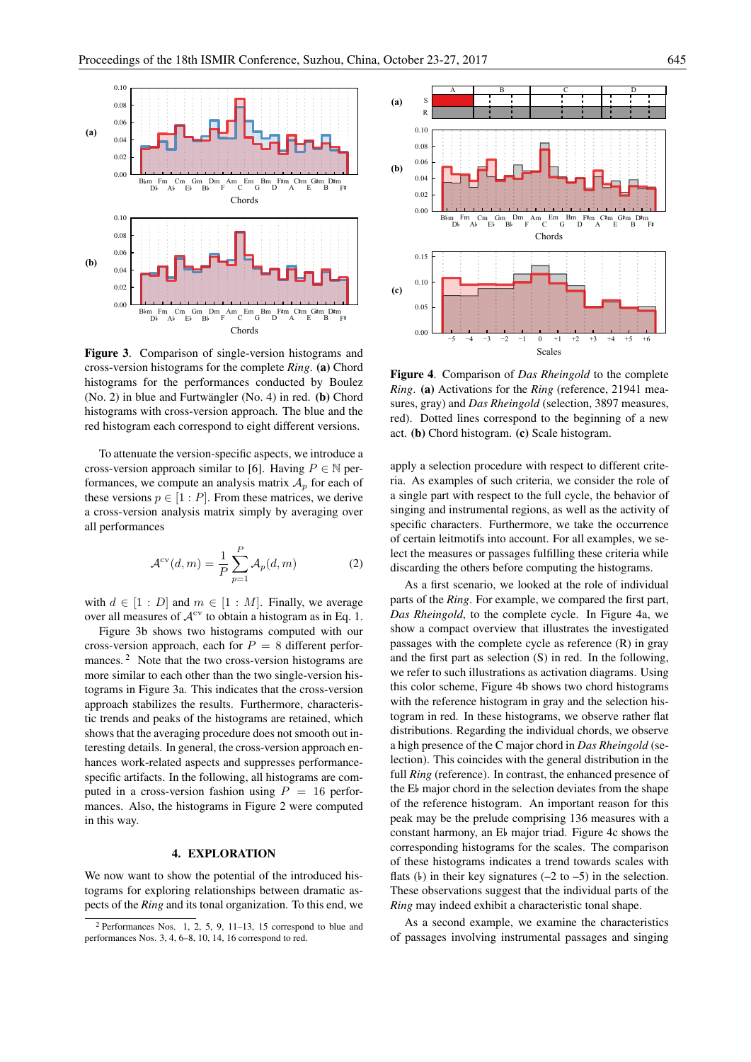

Figure 3. Comparison of single-version histograms and cross-version histograms for the complete *Ring*. (a) Chord histograms for the performances conducted by Boulez  $(No. 2)$  in blue and Furtwängler  $(No. 4)$  in red.  $(b)$  Chord histograms with cross-version approach. The blue and the red histogram each correspond to eight different versions.

To attenuate the version-specific aspects, we introduce a cross-version approach similar to [6]. Having  $P \in \mathbb{N}$  performances, we compute an analysis matrix  $A_p$  for each of these versions  $p \in [1 : P]$ . From these matrices, we derive a cross-version analysis matrix simply by averaging over all performances

$$
\mathcal{A}^{\text{cv}}(d,m) = \frac{1}{P} \sum_{p=1}^{P} \mathcal{A}_p(d,m)
$$
 (2)

with  $d \in [1 : D]$  and  $m \in [1 : M]$ . Finally, we average over all measures of  $A^{cv}$  to obtain a histogram as in Eq. 1.

Figure 3b shows two histograms computed with our cross-version approach, each for  $P = 8$  different performances.<sup>2</sup> Note that the two cross-version histograms are more similar to each other than the two single-version histograms in Figure 3a. This indicates that the cross-version approach stabilizes the results. Furthermore, characteristic trends and peaks of the histograms are retained, which shows that the averaging procedure does not smooth out interesting details. In general, the cross-version approach enhances work-related aspects and suppresses performancespecific artifacts. In the following, all histograms are computed in a cross-version fashion using  $P = 16$  performances. Also, the histograms in Figure 2 were computed in this way.

#### 4. EXPLORATION

We now want to show the potential of the introduced histograms for exploring relationships between dramatic aspects of the *Ring* and its tonal organization. To this end, we



Figure 4. Comparison of *Das Rheingold* to the complete *Ring*. (a) Activations for the *Ring* (reference, 21941 measures, gray) and *Das Rheingold* (selection, 3897 measures, red). Dotted lines correspond to the beginning of a new act. (b) Chord histogram. (c) Scale histogram.

apply a selection procedure with respect to different criteria. As examples of such criteria, we consider the role of a single part with respect to the full cycle, the behavior of singing and instrumental regions, as well as the activity of specific characters. Furthermore, we take the occurrence of certain leitmotifs into account. For all examples, we select the measures or passages fulfilling these criteria while discarding the others before computing the histograms.

As a first scenario, we looked at the role of individual parts of the *Ring*. For example, we compared the first part, *Das Rheingold*, to the complete cycle. In Figure 4a, we show a compact overview that illustrates the investigated passages with the complete cycle as reference (R) in gray and the first part as selection (S) in red. In the following, we refer to such illustrations as activation diagrams. Using this color scheme, Figure 4b shows two chord histograms with the reference histogram in gray and the selection histogram in red. In these histograms, we observe rather flat distributions. Regarding the individual chords, we observe a high presence of the C major chord in *Das Rheingold* (selection). This coincides with the general distribution in the full *Ring* (reference). In contrast, the enhanced presence of the E major chord in the selection deviates from the shape of the reference histogram. An important reason for this peak may be the prelude comprising 136 measures with a constant harmony, an E<sub>b</sub> major triad. Figure 4c shows the corresponding histograms for the scales. The comparison of these histograms indicates a trend towards scales with flats ( $\flat$ ) in their key signatures (-2 to -5) in the selection. These observations suggest that the individual parts of the *Ring* may indeed exhibit a characteristic tonal shape.

As a second example, we examine the characteristics of passages involving instrumental passages and singing

<sup>2</sup> Performances Nos. 1, 2, 5, 9, 11–13, 15 correspond to blue and performances Nos. 3, 4, 6–8, 10, 14, 16 correspond to red.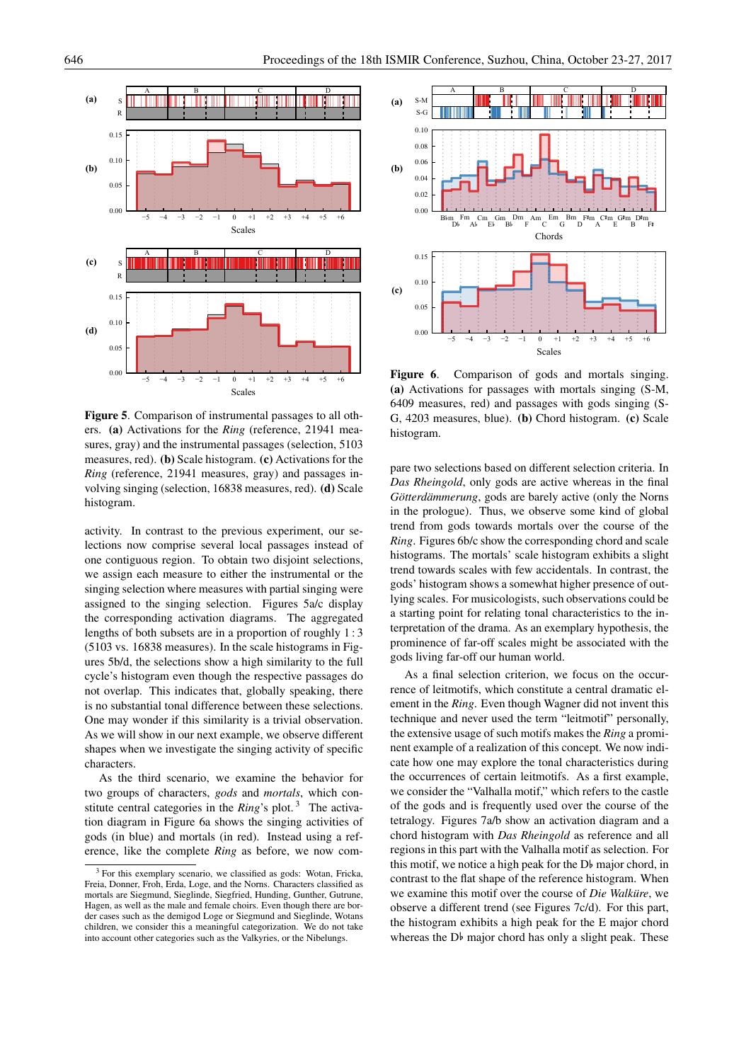

Figure 5. Comparison of instrumental passages to all others. (a) Activations for the *Ring* (reference, 21941 measures, gray) and the instrumental passages (selection, 5103 measures, red). (b) Scale histogram. (c) Activations for the *Ring* (reference, 21941 measures, gray) and passages involving singing (selection, 16838 measures, red). (d) Scale histogram.

activity. In contrast to the previous experiment, our selections now comprise several local passages instead of one contiguous region. To obtain two disjoint selections, we assign each measure to either the instrumental or the singing selection where measures with partial singing were assigned to the singing selection. Figures 5a/c display the corresponding activation diagrams. The aggregated lengths of both subsets are in a proportion of roughly 1 : 3 (5103 vs. 16838 measures). In the scale histograms in Figures 5b/d, the selections show a high similarity to the full cycle's histogram even though the respective passages do not overlap. This indicates that, globally speaking, there is no substantial tonal difference between these selections. One may wonder if this similarity is a trivial observation. As we will show in our next example, we observe different shapes when we investigate the singing activity of specific characters.

As the third scenario, we examine the behavior for two groups of characters, *gods* and *mortals*, which constitute central categories in the *Ring*'s plot.<sup>3</sup> The activation diagram in Figure 6a shows the singing activities of gods (in blue) and mortals (in red). Instead using a reference, like the complete *Ring* as before, we now com-



Figure 6. Comparison of gods and mortals singing. (a) Activations for passages with mortals singing (S-M, 6409 measures, red) and passages with gods singing (S-G, 4203 measures, blue). (b) Chord histogram. (c) Scale histogram.

pare two selections based on different selection criteria. In *Das Rheingold*, only gods are active whereas in the final *Götterdämmerung*, gods are barely active (only the Norns in the prologue). Thus, we observe some kind of global trend from gods towards mortals over the course of the *Ring*. Figures 6b/c show the corresponding chord and scale histograms. The mortals' scale histogram exhibits a slight trend towards scales with few accidentals. In contrast, the gods' histogram shows a somewhat higher presence of outlying scales. For musicologists, such observations could be a starting point for relating tonal characteristics to the interpretation of the drama. As an exemplary hypothesis, the prominence of far-off scales might be associated with the gods living far-off our human world.

As a final selection criterion, we focus on the occurrence of leitmotifs, which constitute a central dramatic element in the *Ring*. Even though Wagner did not invent this technique and never used the term "leitmotif" personally, the extensive usage of such motifs makes the *Ring* a prominent example of a realization of this concept. We now indicate how one may explore the tonal characteristics during the occurrences of certain leitmotifs. As a first example, we consider the "Valhalla motif," which refers to the castle of the gods and is frequently used over the course of the tetralogy. Figures 7a/b show an activation diagram and a chord histogram with *Das Rheingold* as reference and all regions in this part with the Valhalla motif as selection. For this motif, we notice a high peak for the D major chord, in contrast to the flat shape of the reference histogram. When we examine this motif over the course of *Die Walküre*, we observe a different trend (see Figures 7c/d). For this part, the histogram exhibits a high peak for the E major chord whereas the D<sub>b</sub> major chord has only a slight peak. These

<sup>&</sup>lt;sup>3</sup> For this exemplary scenario, we classified as gods: Wotan, Fricka, Freia, Donner, Froh, Erda, Loge, and the Norns. Characters classified as mortals are Siegmund, Sieglinde, Siegfried, Hunding, Gunther, Gutrune, Hagen, as well as the male and female choirs. Even though there are border cases such as the demigod Loge or Siegmund and Sieglinde, Wotans children, we consider this a meaningful categorization. We do not take into account other categories such as the Valkyries, or the Nibelungs.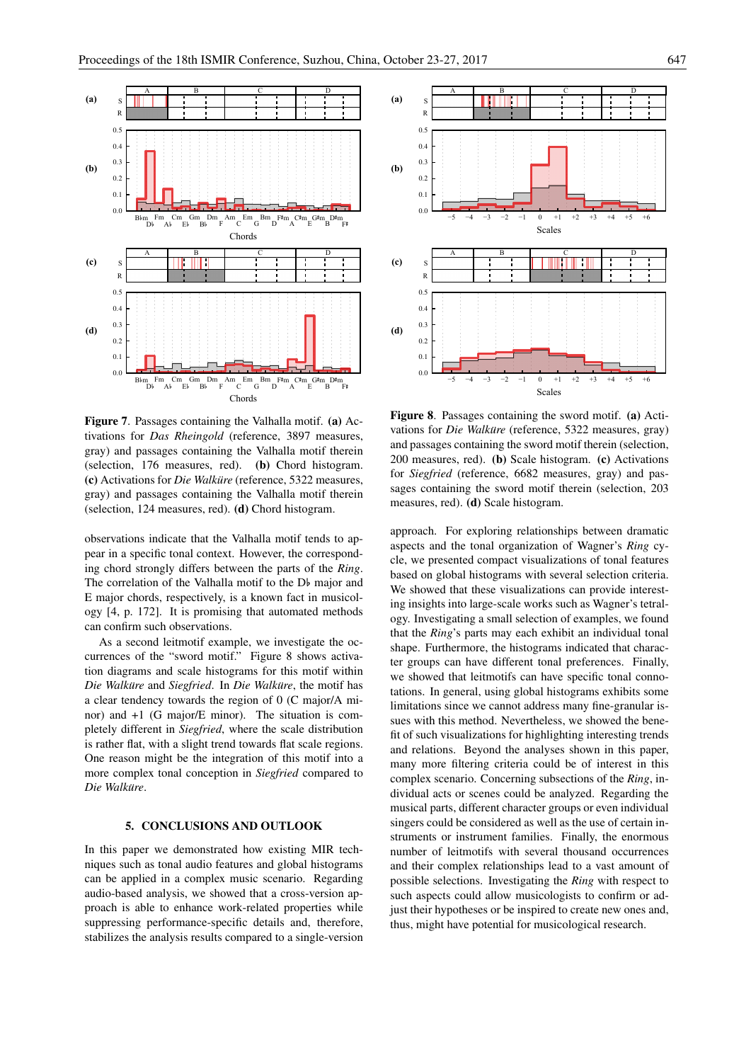

Figure 7. Passages containing the Valhalla motif. (a) Activations for *Das Rheingold* (reference, 3897 measures, gray) and passages containing the Valhalla motif therein (selection, 176 measures, red). (b) Chord histogram. (c) Activations for *Die Walküre* (reference, 5322 measures, gray) and passages containing the Valhalla motif therein (selection, 124 measures, red). (d) Chord histogram.

observations indicate that the Valhalla motif tends to appear in a specific tonal context. However, the corresponding chord strongly differs between the parts of the *Ring*. The correlation of the Valhalla motif to the D<sub>b</sub> major and E major chords, respectively, is a known fact in musicology [4, p. 172]. It is promising that automated methods can confirm such observations.

As a second leitmotif example, we investigate the occurrences of the "sword motif." Figure 8 shows activation diagrams and scale histograms for this motif within *Die Walküre* and *Siegfried*. In *Die Walküre*, the motif has a clear tendency towards the region of 0 (C major/A minor) and +1 (G major/E minor). The situation is completely different in *Siegfried*, where the scale distribution is rather flat, with a slight trend towards flat scale regions. One reason might be the integration of this motif into a more complex tonal conception in *Siegfried* compared to  $Die$  *Walküre*.

## 5. CONCLUSIONS AND OUTLOOK

In this paper we demonstrated how existing MIR techniques such as tonal audio features and global histograms can be applied in a complex music scenario. Regarding audio-based analysis, we showed that a cross-version approach is able to enhance work-related properties while suppressing performance-specific details and, therefore, stabilizes the analysis results compared to a single-version



Figure 8. Passages containing the sword motif. (a) Activations for *Die Walküre* (reference, 5322 measures, gray) and passages containing the sword motif therein (selection, 200 measures, red). (b) Scale histogram. (c) Activations for *Siegfried* (reference, 6682 measures, gray) and passages containing the sword motif therein (selection, 203 measures, red). (d) Scale histogram.

approach. For exploring relationships between dramatic aspects and the tonal organization of Wagner's *Ring* cycle, we presented compact visualizations of tonal features based on global histograms with several selection criteria. We showed that these visualizations can provide interesting insights into large-scale works such as Wagner's tetralogy. Investigating a small selection of examples, we found that the *Ring*'s parts may each exhibit an individual tonal shape. Furthermore, the histograms indicated that character groups can have different tonal preferences. Finally, we showed that leitmotifs can have specific tonal connotations. In general, using global histograms exhibits some limitations since we cannot address many fine-granular issues with this method. Nevertheless, we showed the benefit of such visualizations for highlighting interesting trends and relations. Beyond the analyses shown in this paper, many more filtering criteria could be of interest in this complex scenario. Concerning subsections of the *Ring*, individual acts or scenes could be analyzed. Regarding the musical parts, different character groups or even individual singers could be considered as well as the use of certain instruments or instrument families. Finally, the enormous number of leitmotifs with several thousand occurrences and their complex relationships lead to a vast amount of possible selections. Investigating the *Ring* with respect to such aspects could allow musicologists to confirm or adjust their hypotheses or be inspired to create new ones and, thus, might have potential for musicological research.